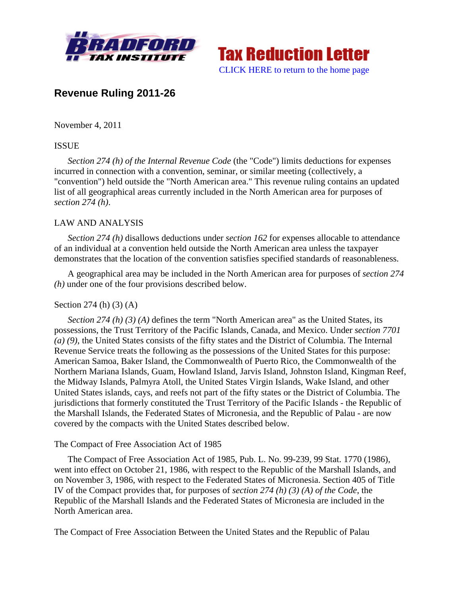



# **Revenue Ruling 2011-26**

November 4, 2011

## ISSUE

*Section 274 (h) of the Internal Revenue Code* (the "Code") limits deductions for expenses incurred in connection with a convention, seminar, or similar meeting (collectively, a "convention") held outside the "North American area." This revenue ruling contains an updated list of all geographical areas currently included in the North American area for purposes of *section 274 (h)*.

# LAW AND ANALYSIS

*Section 274 (h)* disallows deductions under *section 162* for expenses allocable to attendance of an individual at a convention held outside the North American area unless the taxpayer demonstrates that the location of the convention satisfies specified standards of reasonableness.

A geographical area may be included in the North American area for purposes of *section 274 (h)* under one of the four provisions described below.

# Section 274 (h) (3) (A)

*Section 274 (h) (3) (A)* defines the term "North American area" as the United States, its possessions, the Trust Territory of the Pacific Islands, Canada, and Mexico. Under *section 7701 (a) (9)*, the United States consists of the fifty states and the District of Columbia. The Internal Revenue Service treats the following as the possessions of the United States for this purpose: American Samoa, Baker Island, the Commonwealth of Puerto Rico, the Commonwealth of the Northern Mariana Islands, Guam, Howland Island, Jarvis Island, Johnston Island, Kingman Reef, the Midway Islands, Palmyra Atoll, the United States Virgin Islands, Wake Island, and other United States islands, cays, and reefs not part of the fifty states or the District of Columbia. The jurisdictions that formerly constituted the Trust Territory of the Pacific Islands - the Republic of the Marshall Islands, the Federated States of Micronesia, and the Republic of Palau - are now covered by the compacts with the United States described below.

#### The Compact of Free Association Act of 1985

The Compact of Free Association Act of 1985, Pub. L. No. 99-239, 99 Stat. 1770 (1986), went into effect on October 21, 1986, with respect to the Republic of the Marshall Islands, and on November 3, 1986, with respect to the Federated States of Micronesia. Section 405 of Title IV of the Compact provides that, for purposes of *section 274 (h) (3) (A) of the Code*, the Republic of the Marshall Islands and the Federated States of Micronesia are included in the North American area.

The Compact of Free Association Between the United States and the Republic of Palau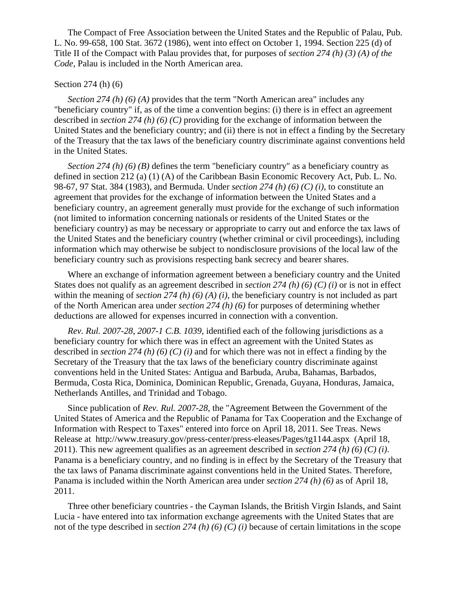The Compact of Free Association between the United States and the Republic of Palau, Pub. L. No. 99-658, 100 Stat. 3672 (1986), went into effect on October 1, 1994. Section 225 (d) of Title II of the Compact with Palau provides that, for purposes of *section 274 (h) (3) (A) of the Code*, Palau is included in the North American area.

## Section 274 (h) (6)

*Section 274 (h) (6) (A)* provides that the term "North American area" includes any "beneficiary country" if, as of the time a convention begins: (i) there is in effect an agreement described in *section 274 (h) (6) (C)* providing for the exchange of information between the United States and the beneficiary country; and (ii) there is not in effect a finding by the Secretary of the Treasury that the tax laws of the beneficiary country discriminate against conventions held in the United States.

*Section 274 (h) (6) (B)* defines the term "beneficiary country" as a beneficiary country as defined in section 212 (a) (1) (A) of the Caribbean Basin Economic Recovery Act, Pub. L. No. 98-67, 97 Stat. 384 (1983), and Bermuda. Under *section 274 (h) (6) (C) (i)*, to constitute an agreement that provides for the exchange of information between the United States and a beneficiary country, an agreement generally must provide for the exchange of such information (not limited to information concerning nationals or residents of the United States or the beneficiary country) as may be necessary or appropriate to carry out and enforce the tax laws of the United States and the beneficiary country (whether criminal or civil proceedings), including information which may otherwise be subject to nondisclosure provisions of the local law of the beneficiary country such as provisions respecting bank secrecy and bearer shares.

Where an exchange of information agreement between a beneficiary country and the United States does not qualify as an agreement described in *section 274 (h) (6) (C) (i)* or is not in effect within the meaning of *section 274 (h) (6) (A) (i)*, the beneficiary country is not included as part of the North American area under *section 274 (h) (6)* for purposes of determining whether deductions are allowed for expenses incurred in connection with a convention.

*Rev. Rul. 2007-28, 2007-1 C.B. 1039*, identified each of the following jurisdictions as a beneficiary country for which there was in effect an agreement with the United States as described in *section 274 (h) (6) (C) (i)* and for which there was not in effect a finding by the Secretary of the Treasury that the tax laws of the beneficiary country discriminate against conventions held in the United States: Antigua and Barbuda, Aruba, Bahamas, Barbados, Bermuda, Costa Rica, Dominica, Dominican Republic, Grenada, Guyana, Honduras, Jamaica, Netherlands Antilles, and Trinidad and Tobago.

Since publication of *Rev. Rul. 2007-28*, the "Agreement Between the Government of the United States of America and the Republic of Panama for Tax Cooperation and the Exchange of Information with Respect to Taxes" entered into force on April 18, 2011. See Treas. News Release at http://www.treasury.gov/press-center/press-eleases/Pages/tg1144.aspx (April 18, 2011). This new agreement qualifies as an agreement described in *section 274 (h) (6) (C) (i)*. Panama is a beneficiary country, and no finding is in effect by the Secretary of the Treasury that the tax laws of Panama discriminate against conventions held in the United States. Therefore, Panama is included within the North American area under *section 274 (h) (6)* as of April 18, 2011.

Three other beneficiary countries - the Cayman Islands, the British Virgin Islands, and Saint Lucia - have entered into tax information exchange agreements with the United States that are not of the type described in *section 274 (h) (6) (C) (i)* because of certain limitations in the scope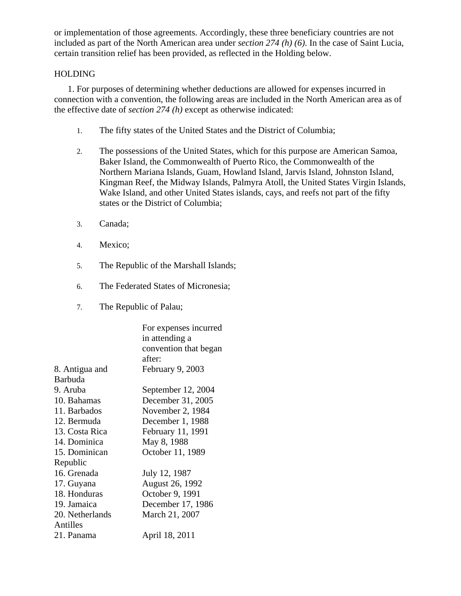or implementation of those agreements. Accordingly, these three beneficiary countries are not included as part of the North American area under *section 274 (h) (6)*. In the case of Saint Lucia, certain transition relief has been provided, as reflected in the Holding below.

# HOLDING

1. For purposes of determining whether deductions are allowed for expenses incurred in connection with a convention, the following areas are included in the North American area as of the effective date of *section 274 (h)* except as otherwise indicated:

- 1. The fifty states of the United States and the District of Columbia;
- 2. The possessions of the United States, which for this purpose are American Samoa, Baker Island, the Commonwealth of Puerto Rico, the Commonwealth of the Northern Mariana Islands, Guam, Howland Island, Jarvis Island, Johnston Island, Kingman Reef, the Midway Islands, Palmyra Atoll, the United States Virgin Islands, Wake Island, and other United States islands, cays, and reefs not part of the fifty states or the District of Columbia;
- 3. Canada;
- 4. Mexico;
- 5. The Republic of the Marshall Islands;
- 6. The Federated States of Micronesia;
- 7. The Republic of Palau;

| For expenses incurred |
|-----------------------|
| in attending a        |
| convention that began |
| after:                |
| February 9, 2003      |
|                       |
| September 12, 2004    |
| December 31, 2005     |
| November 2, 1984      |
| December 1, 1988      |
| February 11, 1991     |
| May 8, 1988           |
| October 11, 1989      |
|                       |
| July 12, 1987         |
| August 26, 1992       |
| October 9, 1991       |
| December 17, 1986     |
| March 21, 2007        |
|                       |
| April 18, 2011        |
|                       |